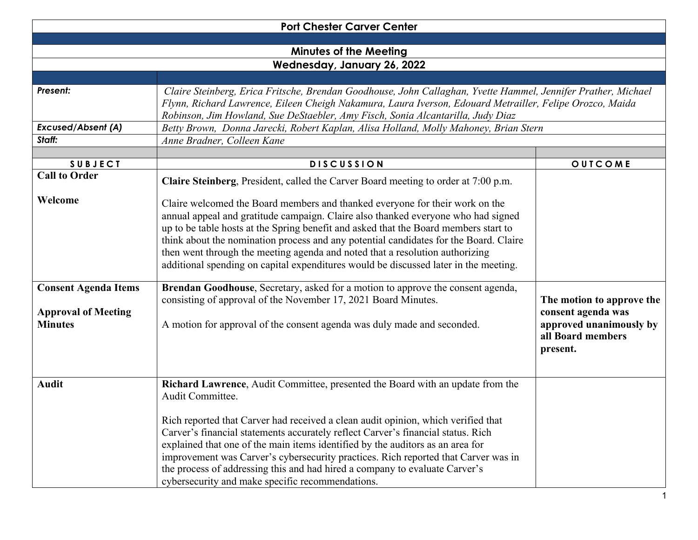| <b>Port Chester Carver Center</b>                                           |                                                                                                                                                                                                                                                                                                                                                                                                                                                                                                                                                                                        |                                                                                                             |  |  |
|-----------------------------------------------------------------------------|----------------------------------------------------------------------------------------------------------------------------------------------------------------------------------------------------------------------------------------------------------------------------------------------------------------------------------------------------------------------------------------------------------------------------------------------------------------------------------------------------------------------------------------------------------------------------------------|-------------------------------------------------------------------------------------------------------------|--|--|
|                                                                             |                                                                                                                                                                                                                                                                                                                                                                                                                                                                                                                                                                                        |                                                                                                             |  |  |
|                                                                             | <b>Minutes of the Meeting</b>                                                                                                                                                                                                                                                                                                                                                                                                                                                                                                                                                          |                                                                                                             |  |  |
|                                                                             | Wednesday, January 26, 2022                                                                                                                                                                                                                                                                                                                                                                                                                                                                                                                                                            |                                                                                                             |  |  |
| Present:                                                                    | Claire Steinberg, Erica Fritsche, Brendan Goodhouse, John Callaghan, Yvette Hammel, Jennifer Prather, Michael<br>Flynn, Richard Lawrence, Eileen Cheigh Nakamura, Laura Iverson, Edouard Metrailler, Felipe Orozco, Maida<br>Robinson, Jim Howland, Sue DeStaebler, Amy Fisch, Sonia Alcantarilla, Judy Diaz                                                                                                                                                                                                                                                                           |                                                                                                             |  |  |
| <b>Excused/Absent (A)</b>                                                   | Betty Brown, Donna Jarecki, Robert Kaplan, Alisa Holland, Molly Mahoney, Brian Stern                                                                                                                                                                                                                                                                                                                                                                                                                                                                                                   |                                                                                                             |  |  |
| Staff:                                                                      | Anne Bradner, Colleen Kane                                                                                                                                                                                                                                                                                                                                                                                                                                                                                                                                                             |                                                                                                             |  |  |
| <b>SUBJECT</b>                                                              | <b>DISCUSSION</b>                                                                                                                                                                                                                                                                                                                                                                                                                                                                                                                                                                      | OUTCOME                                                                                                     |  |  |
| <b>Call to Order</b>                                                        | Claire Steinberg, President, called the Carver Board meeting to order at 7:00 p.m.                                                                                                                                                                                                                                                                                                                                                                                                                                                                                                     |                                                                                                             |  |  |
| Welcome                                                                     | Claire welcomed the Board members and thanked everyone for their work on the<br>annual appeal and gratitude campaign. Claire also thanked everyone who had signed<br>up to be table hosts at the Spring benefit and asked that the Board members start to<br>think about the nomination process and any potential candidates for the Board. Claire<br>then went through the meeting agenda and noted that a resolution authorizing<br>additional spending on capital expenditures would be discussed later in the meeting.                                                             |                                                                                                             |  |  |
| <b>Consent Agenda Items</b><br><b>Approval of Meeting</b><br><b>Minutes</b> | Brendan Goodhouse, Secretary, asked for a motion to approve the consent agenda,<br>consisting of approval of the November 17, 2021 Board Minutes.<br>A motion for approval of the consent agenda was duly made and seconded.                                                                                                                                                                                                                                                                                                                                                           | The motion to approve the<br>consent agenda was<br>approved unanimously by<br>all Board members<br>present. |  |  |
| <b>Audit</b>                                                                | Richard Lawrence, Audit Committee, presented the Board with an update from the<br>Audit Committee.<br>Rich reported that Carver had received a clean audit opinion, which verified that<br>Carver's financial statements accurately reflect Carver's financial status. Rich<br>explained that one of the main items identified by the auditors as an area for<br>improvement was Carver's cybersecurity practices. Rich reported that Carver was in<br>the process of addressing this and had hired a company to evaluate Carver's<br>cybersecurity and make specific recommendations. |                                                                                                             |  |  |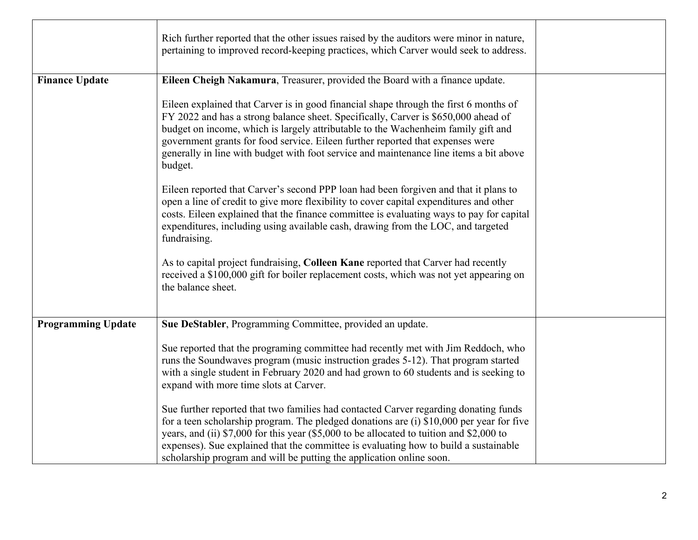|                           | Rich further reported that the other issues raised by the auditors were minor in nature,<br>pertaining to improved record-keeping practices, which Carver would seek to address.                                                                                                                                                                                                                                                                        |  |
|---------------------------|---------------------------------------------------------------------------------------------------------------------------------------------------------------------------------------------------------------------------------------------------------------------------------------------------------------------------------------------------------------------------------------------------------------------------------------------------------|--|
| <b>Finance Update</b>     | Eileen Cheigh Nakamura, Treasurer, provided the Board with a finance update.                                                                                                                                                                                                                                                                                                                                                                            |  |
|                           | Eileen explained that Carver is in good financial shape through the first 6 months of<br>FY 2022 and has a strong balance sheet. Specifically, Carver is \$650,000 ahead of<br>budget on income, which is largely attributable to the Wachenheim family gift and<br>government grants for food service. Eileen further reported that expenses were<br>generally in line with budget with foot service and maintenance line items a bit above<br>budget. |  |
|                           | Eileen reported that Carver's second PPP loan had been forgiven and that it plans to<br>open a line of credit to give more flexibility to cover capital expenditures and other<br>costs. Eileen explained that the finance committee is evaluating ways to pay for capital<br>expenditures, including using available cash, drawing from the LOC, and targeted<br>fundraising.                                                                          |  |
|                           | As to capital project fundraising, Colleen Kane reported that Carver had recently<br>received a \$100,000 gift for boiler replacement costs, which was not yet appearing on<br>the balance sheet.                                                                                                                                                                                                                                                       |  |
| <b>Programming Update</b> | Sue DeStabler, Programming Committee, provided an update.                                                                                                                                                                                                                                                                                                                                                                                               |  |
|                           | Sue reported that the programing committee had recently met with Jim Reddoch, who<br>runs the Soundwaves program (music instruction grades 5-12). That program started<br>with a single student in February 2020 and had grown to 60 students and is seeking to<br>expand with more time slots at Carver.                                                                                                                                               |  |
|                           | Sue further reported that two families had contacted Carver regarding donating funds<br>for a teen scholarship program. The pledged donations are (i) \$10,000 per year for five<br>years, and (ii) \$7,000 for this year (\$5,000 to be allocated to tuition and \$2,000 to<br>expenses). Sue explained that the committee is evaluating how to build a sustainable<br>scholarship program and will be putting the application online soon.            |  |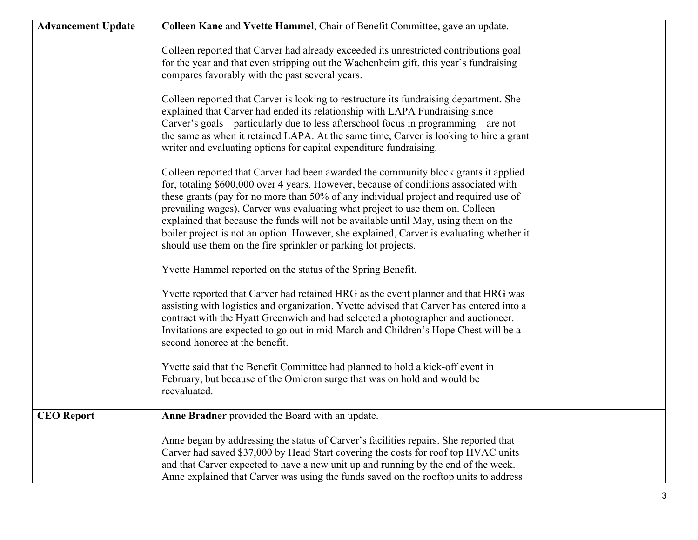| <b>Advancement Update</b> | Colleen Kane and Yvette Hammel, Chair of Benefit Committee, gave an update.                                                                                                                                                                                                                                                                                                                                                                                                                                                                                                                               |  |
|---------------------------|-----------------------------------------------------------------------------------------------------------------------------------------------------------------------------------------------------------------------------------------------------------------------------------------------------------------------------------------------------------------------------------------------------------------------------------------------------------------------------------------------------------------------------------------------------------------------------------------------------------|--|
|                           | Colleen reported that Carver had already exceeded its unrestricted contributions goal<br>for the year and that even stripping out the Wachenheim gift, this year's fundraising<br>compares favorably with the past several years.                                                                                                                                                                                                                                                                                                                                                                         |  |
|                           | Colleen reported that Carver is looking to restructure its fundraising department. She<br>explained that Carver had ended its relationship with LAPA Fundraising since<br>Carver's goals—particularly due to less afterschool focus in programming—are not<br>the same as when it retained LAPA. At the same time, Carver is looking to hire a grant<br>writer and evaluating options for capital expenditure fundraising.                                                                                                                                                                                |  |
|                           | Colleen reported that Carver had been awarded the community block grants it applied<br>for, totaling \$600,000 over 4 years. However, because of conditions associated with<br>these grants (pay for no more than 50% of any individual project and required use of<br>prevailing wages), Carver was evaluating what project to use them on. Colleen<br>explained that because the funds will not be available until May, using them on the<br>boiler project is not an option. However, she explained, Carver is evaluating whether it<br>should use them on the fire sprinkler or parking lot projects. |  |
|                           | Yvette Hammel reported on the status of the Spring Benefit.                                                                                                                                                                                                                                                                                                                                                                                                                                                                                                                                               |  |
|                           | Yvette reported that Carver had retained HRG as the event planner and that HRG was<br>assisting with logistics and organization. Yvette advised that Carver has entered into a<br>contract with the Hyatt Greenwich and had selected a photographer and auctioneer.<br>Invitations are expected to go out in mid-March and Children's Hope Chest will be a<br>second honoree at the benefit.                                                                                                                                                                                                              |  |
|                           | Yvette said that the Benefit Committee had planned to hold a kick-off event in<br>February, but because of the Omicron surge that was on hold and would be<br>reevaluated.                                                                                                                                                                                                                                                                                                                                                                                                                                |  |
| <b>CEO</b> Report         | Anne Bradner provided the Board with an update.                                                                                                                                                                                                                                                                                                                                                                                                                                                                                                                                                           |  |
|                           | Anne began by addressing the status of Carver's facilities repairs. She reported that<br>Carver had saved \$37,000 by Head Start covering the costs for roof top HVAC units<br>and that Carver expected to have a new unit up and running by the end of the week.<br>Anne explained that Carver was using the funds saved on the rooftop units to address                                                                                                                                                                                                                                                 |  |
|                           |                                                                                                                                                                                                                                                                                                                                                                                                                                                                                                                                                                                                           |  |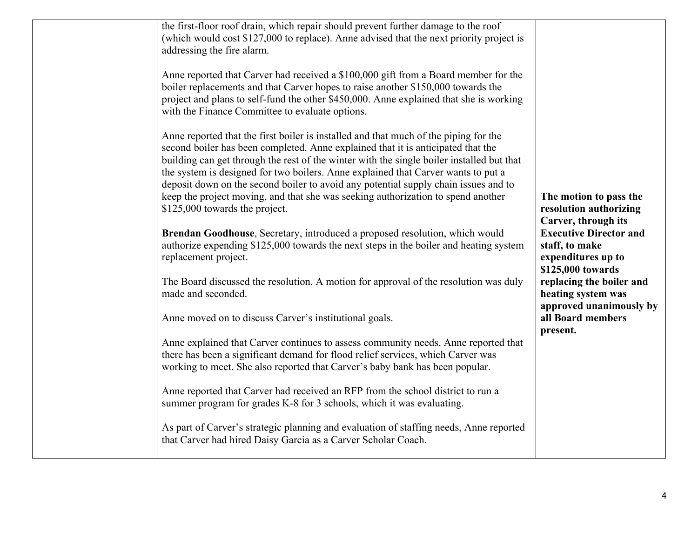| the first-floor roof drain, which repair should prevent further damage to the roof<br>(which would cost \$127,000 to replace). Anne advised that the next priority project is<br>addressing the fire alarm.                                                                                                                                                                                                                                                                                                                                                             |                                                                                                                   |
|-------------------------------------------------------------------------------------------------------------------------------------------------------------------------------------------------------------------------------------------------------------------------------------------------------------------------------------------------------------------------------------------------------------------------------------------------------------------------------------------------------------------------------------------------------------------------|-------------------------------------------------------------------------------------------------------------------|
| Anne reported that Carver had received a \$100,000 gift from a Board member for the<br>boiler replacements and that Carver hopes to raise another \$150,000 towards the<br>project and plans to self-fund the other \$450,000. Anne explained that she is working<br>with the Finance Committee to evaluate options.                                                                                                                                                                                                                                                    |                                                                                                                   |
| Anne reported that the first boiler is installed and that much of the piping for the<br>second boiler has been completed. Anne explained that it is anticipated that the<br>building can get through the rest of the winter with the single boiler installed but that<br>the system is designed for two boilers. Anne explained that Carver wants to put a<br>deposit down on the second boiler to avoid any potential supply chain issues and to<br>keep the project moving, and that she was seeking authorization to spend another<br>\$125,000 towards the project. | The motion to pass the<br>resolution authorizing                                                                  |
| Brendan Goodhouse, Secretary, introduced a proposed resolution, which would<br>authorize expending \$125,000 towards the next steps in the boiler and heating system<br>replacement project.                                                                                                                                                                                                                                                                                                                                                                            | Carver, through its<br><b>Executive Director and</b><br>staff, to make<br>expenditures up to<br>\$125,000 towards |
| The Board discussed the resolution. A motion for approval of the resolution was duly<br>made and seconded.                                                                                                                                                                                                                                                                                                                                                                                                                                                              | replacing the boiler and<br>heating system was<br>approved unanimously by                                         |
| Anne moved on to discuss Carver's institutional goals.                                                                                                                                                                                                                                                                                                                                                                                                                                                                                                                  | all Board members                                                                                                 |
| Anne explained that Carver continues to assess community needs. Anne reported that<br>there has been a significant demand for flood relief services, which Carver was<br>working to meet. She also reported that Carver's baby bank has been popular.                                                                                                                                                                                                                                                                                                                   | present.                                                                                                          |
| Anne reported that Carver had received an RFP from the school district to run a<br>summer program for grades K-8 for 3 schools, which it was evaluating.                                                                                                                                                                                                                                                                                                                                                                                                                |                                                                                                                   |
| As part of Carver's strategic planning and evaluation of staffing needs, Anne reported<br>that Carver had hired Daisy Garcia as a Carver Scholar Coach.                                                                                                                                                                                                                                                                                                                                                                                                                 |                                                                                                                   |